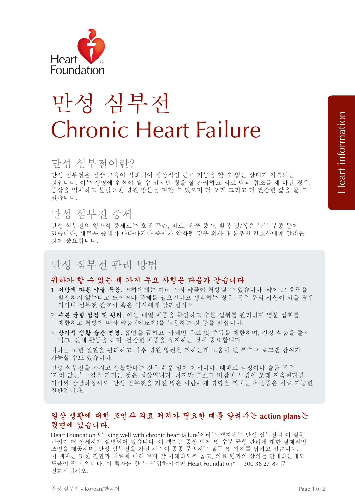

# 만성 심부전 Chronic Heart Failure

## 만성 심부전이란?

만성 심부전은 심장 근육이 약화되어 정상적인 펌프 기능을 할 수 없는 상태가 지속되는 것입니다. 이는 생명에 위협이 될 수 있지만 병을 잘 관리하고 의료 팀과 협조를 해 나갈 경우, 증상을 억제하고 불필요한 병원 방문을 피할 수 있으며 더 오래 그리고 더 건강한 삶을 살 수 있습니다.

### 만성 심부전 증세

만성 심부전의 일반적 증세로는 호흡 곤란, 피로, 체중 증가, 발목 및/혹은 복부 부종 등이 있습니다. 새로운 증세가 나타나거나 증세가 악화될 경우 의사나 심부전 간호사에게 알리는 것이 중요합니다.

## 만성 심부전 관리 방법

#### 귀하가 할 수 있는 세 가지 주요 사항은 다음과 같습니다

- 1. 처방에 따른 약물 복용. 귀하에게는 여러 가지 약물이 처방될 수 있습니다. 약이 그 효력을 발생하지 않는다고 느끼거나 문제를 일으킨다고 생각하는 경우, 혹은 문의 사항이 있을 경우 의사나 심부전 간호사 혹은 약사에게 알리십시오.
- 2. 수분 균형 점검 및 관리. 이는 매일 체중을 확인하고 수분 섭취를 관리하며 염분 섭취를 제한하고 처방에 따라 약품 (이뇨제)을 복용하는 것 등을 말합니다.
- 3. 장기적 생활 습관 변경. 흡연을 금하고, 카페인 음료 및 주류를 제한하며, 건강 식품을 즐겨 먹고, 신체 활동을 하며, 건강한 체중을 유지하는 것이 중요합니다.

귀하는 또한 질환을 관리하고 차후 병원 입원을 피하는데 도움이 될 특수 프로그램 참여가 가능할 수도 있습니다.

만성 심부전을 가지고 생활한다는 것은 쉬운 일이 아닙니다. 때때로 걱정이나 슬픔 혹은 '가라 앉는' 느낌을 가지는 것은 정상입니다. 하지만 슬프고 비참한 느낌이 오래 지속된다면 의사와 상담하십시오. 만성 심부전을 가진 많은 사람에게 영향을 끼치는 우울증은 치료 가능한 질환입니다.

#### 일상 생활에 대한 조언과 의료 처치가 필요한 때를 알려주는 **action plans**는 뒷면에 있습니다.

Heart Foundation의'Living well with chronic heart failure'이라는 책자에는 만성 심부전과 이 질환 관리가 더 상세하게 설명되어 있습니다. 이 책자는 증상 억제 및 수분 균형 관리에 대한 실제적인 조언을 제공하며, 만성 심부전을 가진 사람이 종종 문의하는 질문 몇 가지를 답하고 있습니다. 이 책자는 또한 질환과 치료에 대해 보다 잘 이해하도록 돕고, 의료 팀과의 상의를 안내하는데도 도움이 될 것입니다. 이 책자를 한 부 구입하시려면 Heart Foundation에 1300 36 27 87 로 전화하십시오.